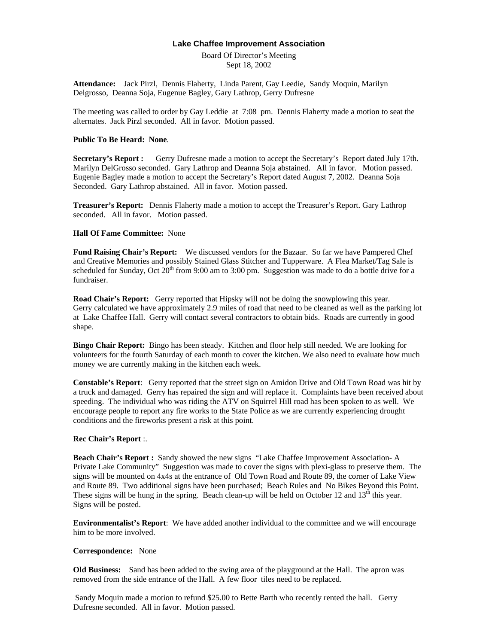## **Lake Chaffee Improvement Association**

Board Of Director's Meeting Sept 18, 2002

**Attendance:** Jack Pirzl, Dennis Flaherty, Linda Parent, Gay Leedie, Sandy Moquin, Marilyn Delgrosso, Deanna Soja, Eugenue Bagley, Gary Lathrop, Gerry Dufresne

The meeting was called to order by Gay Leddie at 7:08 pm. Dennis Flaherty made a motion to seat the alternates. Jack Pirzl seconded. All in favor. Motion passed.

### **Public To Be Heard: None**.

**Secretary's Report :** Gerry Dufresne made a motion to accept the Secretary's Report dated July 17th. Marilyn DelGrosso seconded. Gary Lathrop and Deanna Soja abstained. All in favor. Motion passed. Eugenie Bagley made a motion to accept the Secretary's Report dated August 7, 2002. Deanna Soja Seconded. Gary Lathrop abstained. All in favor. Motion passed.

**Treasurer's Report:** Dennis Flaherty made a motion to accept the Treasurer's Report. Gary Lathrop seconded. All in favor. Motion passed.

# **Hall Of Fame Committee:** None

Fund Raising Chair's Report: We discussed vendors for the Bazaar. So far we have Pampered Chef and Creative Memories and possibly Stained Glass Stitcher and Tupperware. A Flea Market/Tag Sale is scheduled for Sunday, Oct  $20^{th}$  from 9:00 am to 3:00 pm. Suggestion was made to do a bottle drive for a fundraiser.

**Road Chair's Report:** Gerry reported that Hipsky will not be doing the snowplowing this year. Gerry calculated we have approximately 2.9 miles of road that need to be cleaned as well as the parking lot at Lake Chaffee Hall. Gerry will contact several contractors to obtain bids. Roads are currently in good shape.

**Bingo Chair Report:** Bingo has been steady. Kitchen and floor help still needed. We are looking for volunteers for the fourth Saturday of each month to cover the kitchen. We also need to evaluate how much money we are currently making in the kitchen each week.

**Constable's Report**: Gerry reported that the street sign on Amidon Drive and Old Town Road was hit by a truck and damaged. Gerry has repaired the sign and will replace it. Complaints have been received about speeding. The individual who was riding the ATV on Squirrel Hill road has been spoken to as well. We encourage people to report any fire works to the State Police as we are currently experiencing drought conditions and the fireworks present a risk at this point.

# **Rec Chair's Report** :.

**Beach Chair's Report :** Sandy showed the new signs "Lake Chaffee Improvement Association- A Private Lake Community" Suggestion was made to cover the signs with plexi-glass to preserve them. The signs will be mounted on 4x4s at the entrance of Old Town Road and Route 89, the corner of Lake View and Route 89. Two additional signs have been purchased; Beach Rules and No Bikes Beyond this Point. These signs will be hung in the spring. Beach clean-up will be held on October 12 and  $13<sup>th</sup>$  this year. Signs will be posted.

**Environmentalist's Report**: We have added another individual to the committee and we will encourage him to be more involved.

### **Correspondence:** None

**Old Business:** Sand has been added to the swing area of the playground at the Hall. The apron was removed from the side entrance of the Hall. A few floor tiles need to be replaced.

 Sandy Moquin made a motion to refund \$25.00 to Bette Barth who recently rented the hall. Gerry Dufresne seconded. All in favor. Motion passed.